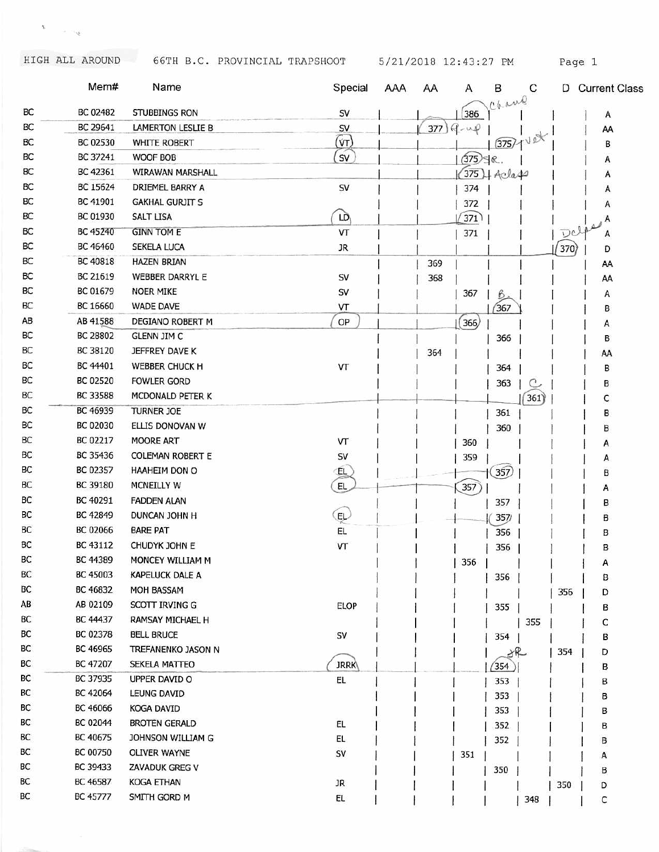$\mathcal{G}^{(1)}$  . <br> <br> :  $\mathcal{G}^{(2)}$ 

HIGH ALL AROUND 66TH B.C. PROVINCIAL TRAPSHOOT 5/21/2018 12:43:27 PM Page 1

|    | Mem#     | Name                    | Special     | <b>AAA</b> | AA  | Α          | в<br>Chane        | С     |     | D Current Class |
|----|----------|-------------------------|-------------|------------|-----|------------|-------------------|-------|-----|-----------------|
| BC | BC 02482 | STUBBINGS RON           | SV          |            |     | 386        |                   |       |     | A               |
| BC | BC 29641 | LAMERTON LESLIE B       | SV          |            | 377 | $9 - 49$   |                   |       |     | AA              |
| BC | BC 02530 | <b>WHITE ROBERT</b>     | $\sqrt{r}$  |            |     |            | (375) 1           |       |     | В               |
| BC | BC 37241 | WOOF BOB                | SV          |            |     | $(375)$ SR |                   |       |     | A               |
| BС | BC 42361 | WIRAWAN MARSHALL        |             |            |     |            | $375$ + Acla $44$ |       |     | Α               |
| BC | BC 15624 | DRIEMEL BARRY A         | SV          |            |     | 374        |                   |       |     | A               |
| BC | BC 41901 | <b>GAKHAL GURJIT S</b>  |             |            |     | 372        |                   |       |     | Α               |
| BС | BC 01930 | <b>SALT LISA</b>        | LD          |            |     | 371        |                   |       |     | Α               |
| BC | BC 45240 | <b>GINN TOM E</b>       | VT          |            |     | 371        |                   |       | Dol | Α               |
| ВC | BC 46460 | SEKELA LUCA             | JR          |            |     |            |                   |       | 370 | D               |
| BC | BC 40818 | <b>HAZEN BRIAN</b>      |             |            | 369 |            |                   |       |     | AA              |
| BC | BC 21619 | WEBBER DARRYL E         | SV          |            | 368 |            |                   |       |     | AA              |
| BC | BC 01679 | <b>NOER MIKE</b>        | SV          |            |     | 367        | B                 |       |     | А               |
| ВC | BC 16660 | <b>WADE DAVE</b>        | VT          |            |     |            | 367               |       |     | в               |
| AB | AB 41588 | DEGIANO ROBERT M        | OP          |            |     | 366)       |                   |       |     | Α               |
| BC | BC 28802 | <b>GLENN JIM C</b>      |             |            |     |            | 366               |       |     | в               |
| BC | BC 38120 | JEFFREY DAVE K          |             |            | 364 |            |                   |       |     | AA              |
| ВC | BC 44401 | WEBBER CHUCK H          | VT          |            |     |            | 364               |       |     | В               |
| BC | BC 02520 | <b>FOWLER GORD</b>      |             |            |     |            | 363               | C     |     | В               |
| BС | BC 33588 | MCDONALD PETER K        |             |            |     |            |                   | (361) |     | с               |
| BC | BC 46939 | TURNER JOE              |             |            |     |            | 361               |       |     | в               |
| BС | BC 02030 | ELLIS DONOVAN W         |             |            |     |            | 360               |       |     | в               |
| BC | BC 02217 | MOORE ART               | VT          |            |     | 360        |                   |       |     |                 |
| BC | BC 35436 | <b>COLEMAN ROBERT E</b> | SV          |            |     | 359        |                   |       |     | Α               |
| ВC | BC 02357 | HAAHEIM DON O           | EL          |            |     |            | 357               |       |     | А<br>В          |
| ВC | BC 39180 | MCNEILLY W              | EL.         |            |     | 357        |                   |       |     |                 |
| BС | BC 40291 | <b>FADDEN ALAN</b>      |             |            |     |            | 357               |       |     | А<br>В          |
| BС | BC 42849 | DUNCAN JOHN H           | EL          |            |     |            | 357/              |       |     | в               |
| BС | BC 02066 | <b>BARE PAT</b>         | EL          |            |     |            | 356               |       |     | В               |
| BC | BC 43112 | CHUDYK JOHN E           | VT          |            |     |            |                   |       |     |                 |
| BC | BC 44389 | MONCEY WILLIAM M        |             |            |     | 356        | 356               |       |     | в               |
| ВC | BC 45003 | KAPELUCK DALE A         |             |            |     |            |                   |       |     | А               |
| BС | BC 46832 | MOH BASSAM              |             |            |     |            | 356               |       |     | В               |
| AВ | AB 02109 | <b>SCOTT IRVING G</b>   | ELOP        |            |     |            |                   |       | 356 | D               |
| BC | BC 44437 | RAMSAY MICHAEL H        |             |            |     |            | 355               |       |     | в               |
| BС | BC 02378 | <b>BELL BRUCE</b>       |             |            |     |            |                   | 355   |     | С               |
| BС | BC 46965 | TREFANENKO JASON N      | SV          |            |     |            | 354               |       |     | в               |
| BС | BC 47207 | <b>SEKELA MATTEO</b>    | <b>JRRK</b> |            |     |            | 米                 |       | 354 | D               |
| ВC | BC 37935 | UPPER DAVID O           | EL.         |            |     |            | 354               |       |     | в               |
| ВC | BC 42064 | LEUNG DAVID             |             |            |     |            | 353               |       |     | в               |
| ВC | BC 46066 | <b>KOGA DAVID</b>       |             |            |     |            | 353               |       |     | в               |
| ВC | BC 02044 | <b>BROTEN GERALD</b>    | EL          |            |     |            | 353               |       |     | в               |
| ВС | BC 40675 | JOHNSON WILLIAM G       | EL.         |            |     |            | 352               |       |     | в               |
| BС | BC 00750 | <b>OLIVER WAYNE</b>     | SV          |            |     |            | 352               |       |     | В               |
| BС | BC 39433 | ZAVADUK GREG V          |             |            |     | 351        |                   |       |     | Α               |
| ВC | BC 46587 | <b>KOGA ETHAN</b>       | JR          |            |     |            | 350               |       |     | В               |
| ВC | BC 45777 | SMITH GORD M            | EL.         |            |     |            |                   |       | 350 | D               |
|    |          |                         |             |            |     |            |                   | 348   |     | с               |